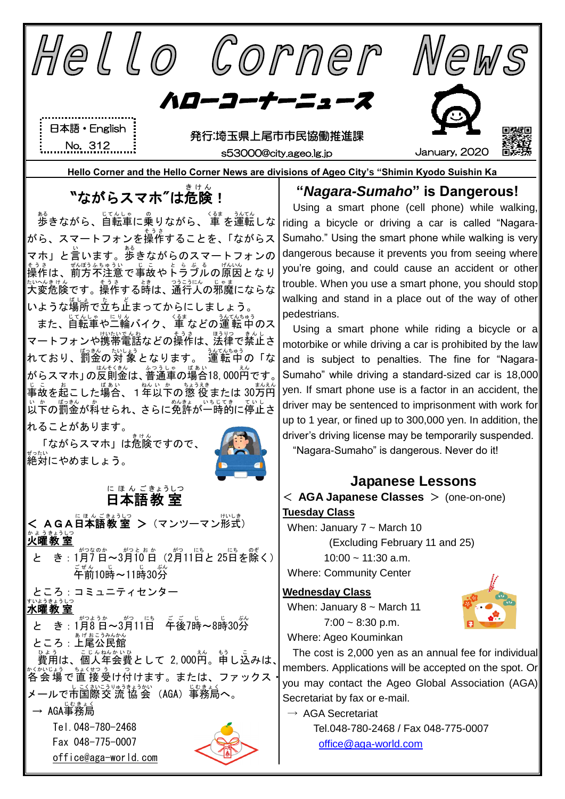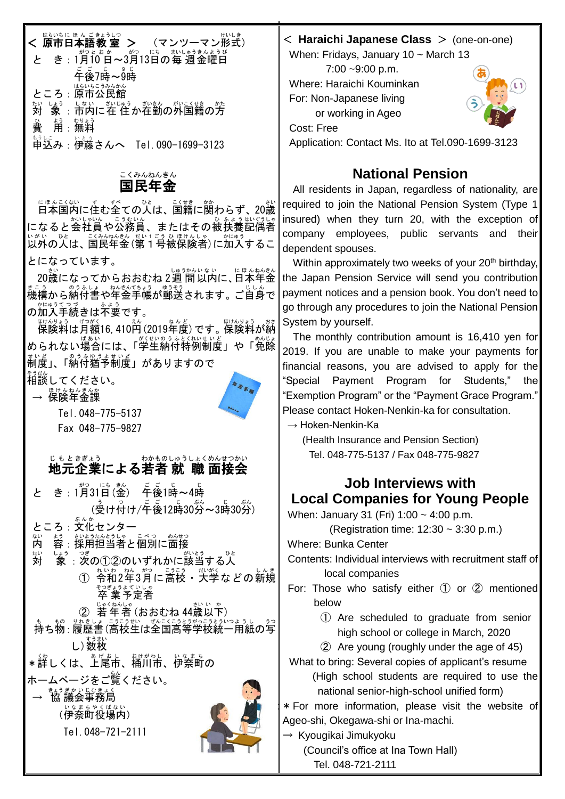#### < 原市 日本語 教 室 はらいちに ほ ん ごきょうしつ | > (マンツーマン形式) と き:1月10日~3月13日の毎 週金曜日 ここ。。。。<br>午後7時~9時 ところ : 原市公民館 <sub>たいしょう しない ざいじゅう がいるくせい かたくせきの方</sub> 費 ひ 用 よう :無料 むりょう 。<br>申込み : 伊藤さんへ Tel.090-1699-3123 < **Haraichi Japanese Class** > (one-on-one) When: Fridays, January 10 ~ March 13  $7:00 - 9:00$  p.m. Where: Haraichi Kouminkan For: Non-Japanese living or working in Ageo Cost: Free Application: Contact Ms. Ito at Tel.090-1699-3123

#### 国民 年金 こくみん ねんきん

にほんこくない<br>**日本国内に住む全ての人は、国籍に関わらず、20歳** になると会社員や公務員、またはその被扶養配偶者 以外 いがい の人 ひと は、国民 こくみん 年金 ねんきん (第1号 だい1ごう 被 ひ 保険者 ほけんしゃ )に加入 かにゅう するこ とになっています。

20歳 さい になってからおおむね 2週 間 しゅうかん 以内 いない に、日本 にほん 年金 ねんきん 機構 きこう から納付書 のうふしょ や年金 ねんきん 手帳 てちょう が郵送 ゆうそう されます。ご自身 じしん で の加入 かにゅう 手続 てつづ きは不要 ふよう です。

<sub>はけんりょう げっがく</sub><br>保険料は月額16,410円 (2019年度) です。保険料が納 められない場合には、「学生納付特例制度」や「免除 制度 せいど 」、「納付 のうふ 猶予 ゆうよ 制度 せいど 」がありますので

<sub>そうだん</sub><br>相談してください。





Tel.048-775-5137 Fax 048-775-9827

#### 地元 企業 による若者 就 職 面接会 じもと きぎょう わかもの しゅうしょく めんせつかい

| きん<br>がつ<br>き:1月31日(金) 午後1時~4時                                          |
|-------------------------------------------------------------------------|
| <sub>(</sub><br>《현다(하나/투後12時30分~3時30分)                                  |
| ぶんか<br>ところ:文化センタ                                                        |
| ない<br>ょう <sub>いようたんとうしゃ こべつ めんせつ</sub><br>容:採用担当者と個別に面接<br>内            |
| ホい<br>しょう<br>がいとう<br>ひと<br>つぎ<br>象:次の①②のいずれかに該当する人                      |
| (1) <sub>れいわ。<br/>① 令和2年3月に高校・大学などの新規</sub>                             |
| そつぎょうよていしゃ<br>卒業予定者                                                     |
| じゃくねんしゃ<br>さいいか<br>若年者 (おおむね 44歳以下)<br>(2)                              |
| も、もの、りれきしょ こうこうせい ぜんこくこうとうがっこうとういっようし うつ<br>持ち物 : 履歴書 (高校生は全国高等学校統一用紙の写 |
| すうまい<br>し)数枚                                                            |
| 、、,<br>*詳しくは、上尾市、桶川市、伊奈町<br>桶川市、伊奈町の                                    |
| ホームページをご覧ください。                                                          |
| きょうぎかいじむきょく<br>→ 協議会事務局                                                 |
| いなまちやくばない<br>(伊奈町役場内)                                                   |
| Tel.048-721-2111                                                        |
|                                                                         |



## **National Pension**

All residents in Japan, regardless of nationality, are required to join the National Pension System (Type 1) insured) when they turn 20, with the exception of company employees, public servants and their dependent spouses.

Within approximately two weeks of your 20<sup>th</sup> birthday, the Japan Pension Service will send you contribution payment notices and a pension book. You don't need to go through any procedures to join the National Pension System by yourself.

The monthly contribution amount is 16,410 yen for 2019. If you are unable to make your payments for financial reasons, you are advised to apply for the "Special Payment Program for Students," the "Exemption Program" or the "Payment Grace Program." Please contact Hoken-Nenkin-ka for consultation.

 $\rightarrow$  Hoken-Nenkin-Ka

(Health Insurance and Pension Section) Tel. 048-775-5137 / Fax 048-775-9827

### **Job Interviews with Local Companies for Young People**

When: January 31 (Fri) 1:00 ~ 4:00 p.m.

(Registration time: 12:30 ~ 3:30 p.m.)

Where: Bunka Center

Contents: Individual interviews with recruitment staff of local companies

- For: Those who satisfy either  $(1)$  or  $(2)$  mentioned below
	- ① Are scheduled to graduate from senior high school or college in March, 2020

② Are young (roughly under the age of 45) What to bring: Several copies of applicant's resume

(High school students are required to use the national senior-high-school unified form)

:\*For more information, please visit the website of Ageo-shi, Okegawa-shi or Ina-machi.

→ Kyougikai Jimukyoku

(Council's office at Ina Town Hall)

Tel. 048-721-2111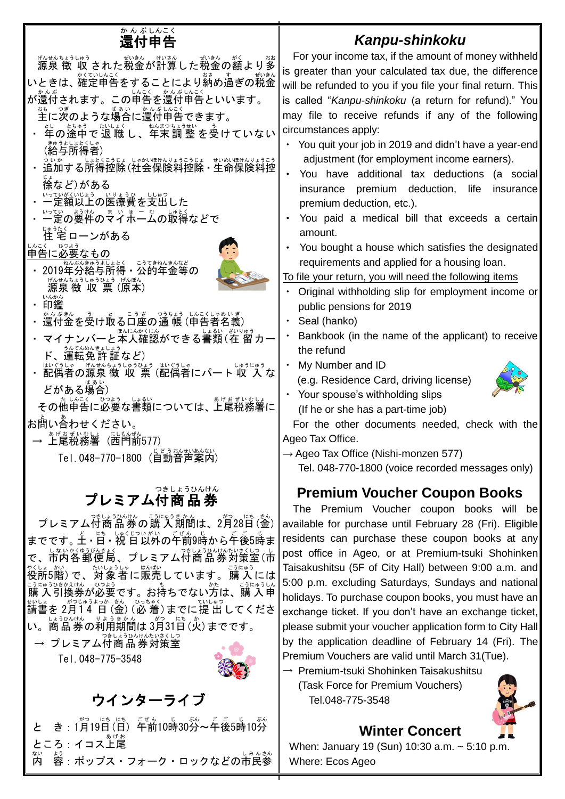# 還付 かんぷ 申告 しんこく

#### *Kanpu-shinkoku*



For the other documents needed, check with the

 $\rightarrow$  Ageo Tax Office (Nishi-monzen 577)

Tel. 048-770-1800 (voice recorded messages only)

#### **Premium Voucher Coupon Books**

The Premium Voucher coupon books will be available for purchase until February 28 (Fri). Eligible residents can purchase these coupon books at any post office in Ageo, or at Premium-tsuki Shohinken Taisakushitsu (5F of City Hall) between 9:00 a.m. and 5:00 p.m. excluding Saturdays, Sundays and national holidays. To purchase coupon books, you must have an exchange ticket. If you don't have an exchange ticket, please submit your voucher application form to City Hall by the application deadline of February 14 (Fri). The Premium Vouchers are valid until March 31(Tue).

→ Premium-tsuki Shohinken Taisakushitsu (Task Force for Premium Vouchers) Tel.048-775-3548



#### **Winter Concert**

When: January 19 (Sun) 10:30 a.m. ~ 5:10 p.m. Where: Ecos Ageo

までです。上・日・祝 日以外の午前9時から午後5時ま て、市内各郵便局、プレミアム付商品券対策室(市 ☆しょ。。。<br>役所5階)で、対象者に販売しています。購 入には こうにゅうひきかえけん ひょう<br>購 入 引換券が必要です。お持ちでない方は、購 入申 <sub>むしょうのじゅうよっか、もく、 ひもゃく<br>請書を 2月14 日 (金) (必 着) までに 提 出 してくださ</sub> い。商品券の利用期間は 3月31日(火)までです。

→ プレミアム付商 品 券対策室 Tel.048-775-3548



## ウインターライブ

と き : 1月19日(日) 午前10時30労~年後5時10労 ところ:イコス上尾 あげお 内 ない ょ。<br>容 : ポップス・フォーク・ロックなどの市民参